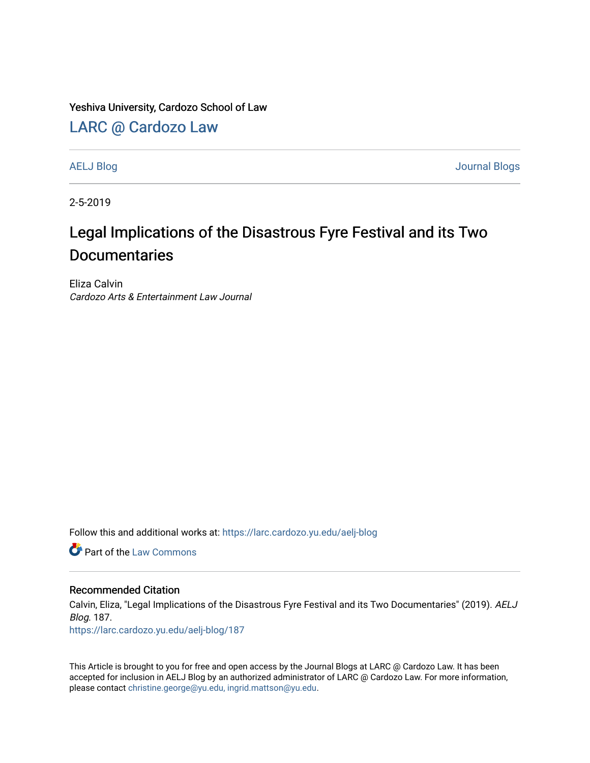Yeshiva University, Cardozo School of Law

## [LARC @ Cardozo Law](https://larc.cardozo.yu.edu/)

[AELJ Blog](https://larc.cardozo.yu.edu/aelj-blog) [Journal Blogs](https://larc.cardozo.yu.edu/journal-blogs) 

2-5-2019

## Legal Implications of the Disastrous Fyre Festival and its Two **Documentaries**

Eliza Calvin Cardozo Arts & Entertainment Law Journal

Follow this and additional works at: [https://larc.cardozo.yu.edu/aelj-blog](https://larc.cardozo.yu.edu/aelj-blog?utm_source=larc.cardozo.yu.edu%2Faelj-blog%2F187&utm_medium=PDF&utm_campaign=PDFCoverPages) 

**C** Part of the [Law Commons](http://network.bepress.com/hgg/discipline/578?utm_source=larc.cardozo.yu.edu%2Faelj-blog%2F187&utm_medium=PDF&utm_campaign=PDFCoverPages)

## Recommended Citation

Calvin, Eliza, "Legal Implications of the Disastrous Fyre Festival and its Two Documentaries" (2019). AELJ Blog. 187.

[https://larc.cardozo.yu.edu/aelj-blog/187](https://larc.cardozo.yu.edu/aelj-blog/187?utm_source=larc.cardozo.yu.edu%2Faelj-blog%2F187&utm_medium=PDF&utm_campaign=PDFCoverPages) 

This Article is brought to you for free and open access by the Journal Blogs at LARC @ Cardozo Law. It has been accepted for inclusion in AELJ Blog by an authorized administrator of LARC @ Cardozo Law. For more information, please contact [christine.george@yu.edu, ingrid.mattson@yu.edu.](mailto:christine.george@yu.edu,%20ingrid.mattson@yu.edu)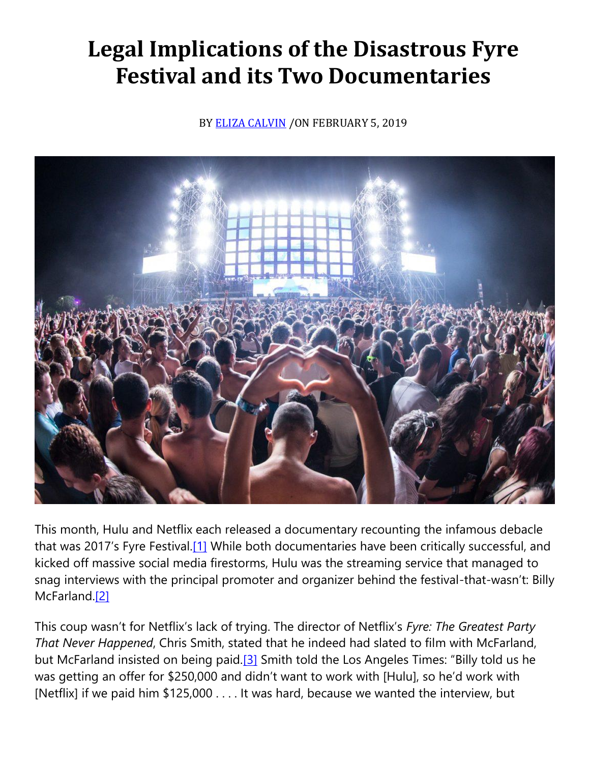## **Legal Implications of the Disastrous Fyre Festival and its Two Documentaries**

BY [ELIZA CALVIN](https://cardozoaelj.com/author/eliza-calvin/) / ON FEBRUARY 5, 2019



This month, Hulu and Netflix each released a documentary recounting the infamous debacle that was 2017's Fyre Festival.[\[1\]](https://cardozoaelj.com/2019/02/05/legal-implications-disastrous-fyre-festival-two-documentaries/#_ftn1) While both documentaries have been critically successful, and kicked off massive social media firestorms, Hulu was the streaming service that managed to snag interviews with the principal promoter and organizer behind the festival-that-wasn't: Billy McFarland.<sup>[2]</sup>

This coup wasn't for Netflix's lack of trying. The director of Netflix's *Fyre: The Greatest Party That Never Happened*, Chris Smith, stated that he indeed had slated to film with McFarland, but McFarland insisted on being paid.<sup>[3]</sup> Smith told the Los Angeles Times: "Billy told us he was getting an offer for \$250,000 and didn't want to work with [Hulu], so he'd work with [Netflix] if we paid him \$125,000 . . . . It was hard, because we wanted the interview, but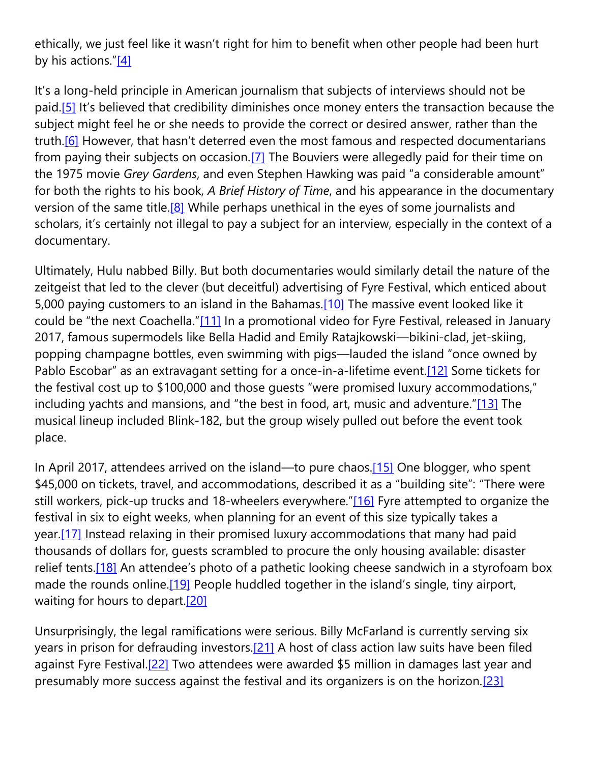ethically, we just feel like it wasn't right for him to benefit when other people had been hurt by his actions." $[4]$ 

It's a long-held principle in American journalism that subjects of interviews should not be paid[.\[5\]](https://cardozoaelj.com/2019/02/05/legal-implications-disastrous-fyre-festival-two-documentaries/#_ftn5) It's believed that credibility diminishes once money enters the transaction because the subject might feel he or she needs to provide the correct or desired answer, rather than the truth.<sup>[6]</sup> However, that hasn't deterred even the most famous and respected documentarians from paying their subjects on occasion.<sup>[7]</sup> The Bouviers were allegedly paid for their time on the 1975 movie *Grey Gardens*, and even Stephen Hawking was paid "a considerable amount" for both the rights to his book, *A Brief History of Time*, and his appearance in the documentary version of the same title.<sup>[8]</sup> While perhaps unethical in the eyes of some journalists and scholars, it's certainly not illegal to pay a subject for an interview, especially in the context of a documentary.

Ultimately, Hulu nabbed Billy. But both documentaries would similarly detail the nature of the zeitgeist that led to the clever (but deceitful) advertising of Fyre Festival, which enticed about 5,000 paying customers to an island in the Bahamas[.\[10\]](https://cardozoaelj.com/2019/02/05/legal-implications-disastrous-fyre-festival-two-documentaries/#_ftn10) The massive event looked like it could be "the next Coachella."[\[11\]](https://cardozoaelj.com/2019/02/05/legal-implications-disastrous-fyre-festival-two-documentaries/#_ftn11) In a promotional video for Fyre Festival, released in January 2017, famous supermodels like Bella Hadid and Emily Ratajkowski—bikini-clad, jet-skiing, popping champagne bottles, even swimming with pigs—lauded the island "once owned by Pablo Escobar" as an extravagant setting for a once-in-a-lifetime event.<sup>[12]</sup> Some tickets for the festival cost up to \$100,000 and those guests "were promised luxury accommodations," including yachts and mansions, and "the best in food, art, music and adventure."[\[13\]](https://cardozoaelj.com/2019/02/05/legal-implications-disastrous-fyre-festival-two-documentaries/#_ftn13) The musical lineup included Blink-182, but the group wisely pulled out before the event took place.

In April 2017, attendees arrived on the island—to pure chaos[.\[15\]](https://cardozoaelj.com/2019/02/05/legal-implications-disastrous-fyre-festival-two-documentaries/#_ftn15) One blogger, who spent \$45,000 on tickets, travel, and accommodations, described it as a "building site": "There were still workers, pick-up trucks and 18-wheelers everywhere."[\[16\]](https://cardozoaelj.com/2019/02/05/legal-implications-disastrous-fyre-festival-two-documentaries/#_ftn16) Fyre attempted to organize the festival in six to eight weeks, when planning for an event of this size typically takes a year[.\[17\]](https://cardozoaelj.com/2019/02/05/legal-implications-disastrous-fyre-festival-two-documentaries/#_ftn17) Instead relaxing in their promised luxury accommodations that many had paid thousands of dollars for, guests scrambled to procure the only housing available: disaster relief tents.<sup>[18]</sup> An attendee's photo of a pathetic looking cheese sandwich in a styrofoam box made the rounds online.<sup>[19]</sup> People huddled together in the island's single, tiny airport, waiting for hours to depart.<sup>[20]</sup>

Unsurprisingly, the legal ramifications were serious. Billy McFarland is currently serving six years in prison for defrauding investors[.\[21\]](https://cardozoaelj.com/2019/02/05/legal-implications-disastrous-fyre-festival-two-documentaries/#_ftn21) A host of class action law suits have been filed against Fyre Festival[.\[22\]](https://cardozoaelj.com/2019/02/05/legal-implications-disastrous-fyre-festival-two-documentaries/#_ftn22) Two attendees were awarded \$5 million in damages last year and presumably more success against the festival and its organizers is on the horizon[.\[23\]](https://cardozoaelj.com/2019/02/05/legal-implications-disastrous-fyre-festival-two-documentaries/#_ftn23)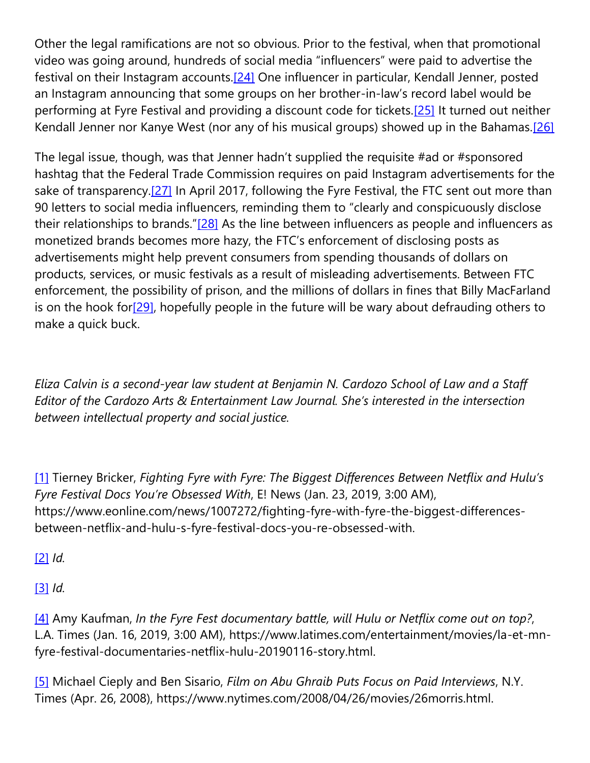Other the legal ramifications are not so obvious. Prior to the festival, when that promotional video was going around, hundreds of social media "influencers" were paid to advertise the festival on their Instagram accounts.<sup>[24]</sup> One influencer in particular, Kendall Jenner, posted an Instagram announcing that some groups on her brother-in-law's record label would be performing at Fyre Festival and providing a discount code for tickets[.\[25\]](https://cardozoaelj.com/2019/02/05/legal-implications-disastrous-fyre-festival-two-documentaries/#_ftn25) It turned out neither Kendall Jenner nor Kanye West (nor any of his musical groups) showed up in the Bahamas.<sup>[26]</sup>

The legal issue, though, was that Jenner hadn't supplied the requisite #ad or #sponsored hashtag that the Federal Trade Commission requires on paid Instagram advertisements for the sake of transparency.<sup>[27]</sup> In April 2017, following the Fyre Festival, the FTC sent out more than 90 letters to social media influencers, reminding them to "clearly and conspicuously disclose their relationships to brands."[\[28\]](https://cardozoaelj.com/2019/02/05/legal-implications-disastrous-fyre-festival-two-documentaries/#_ftn28) As the line between influencers as people and influencers as monetized brands becomes more hazy, the FTC's enforcement of disclosing posts as advertisements might help prevent consumers from spending thousands of dollars on products, services, or music festivals as a result of misleading advertisements. Between FTC enforcement, the possibility of prison, and the millions of dollars in fines that Billy MacFarland is on the hook fo[r\[29\],](https://cardozoaelj.com/2019/02/05/legal-implications-disastrous-fyre-festival-two-documentaries/#_ftn29) hopefully people in the future will be wary about defrauding others to make a quick buck.

*Eliza Calvin is a second-year law student at Benjamin N. Cardozo School of Law and a Staff Editor of the Cardozo Arts & Entertainment Law Journal. She's interested in the intersection between intellectual property and social justice.*

[\[1\]](https://cardozoaelj.com/2019/02/05/legal-implications-disastrous-fyre-festival-two-documentaries/#_ftnref1) Tierney Bricker, *Fighting Fyre with Fyre: The Biggest Differences Between Netflix and Hulu's Fyre Festival Docs You're Obsessed With*, E! News (Jan. 23, 2019, 3:00 AM), https://www.eonline.com/news/1007272/fighting-fyre-with-fyre-the-biggest-differencesbetween-netflix-and-hulu-s-fyre-festival-docs-you-re-obsessed-with.

[\[2\]](https://cardozoaelj.com/2019/02/05/legal-implications-disastrous-fyre-festival-two-documentaries/#_ftnref2) *Id.*

[\[3\]](https://cardozoaelj.com/2019/02/05/legal-implications-disastrous-fyre-festival-two-documentaries/#_ftnref3) *Id.*

[\[4\]](https://cardozoaelj.com/2019/02/05/legal-implications-disastrous-fyre-festival-two-documentaries/#_ftnref4) Amy Kaufman, *In the Fyre Fest documentary battle, will Hulu or Netflix come out on top?*, L.A. Times (Jan. 16, 2019, 3:00 AM), https://www.latimes.com/entertainment/movies/la-et-mnfyre-festival-documentaries-netflix-hulu-20190116-story.html.

[\[5\]](https://cardozoaelj.com/2019/02/05/legal-implications-disastrous-fyre-festival-two-documentaries/#_ftnref5) Michael Cieply and Ben Sisario, *Film on Abu Ghraib Puts Focus on Paid Interviews*, N.Y. Times (Apr. 26, 2008), https://www.nytimes.com/2008/04/26/movies/26morris.html.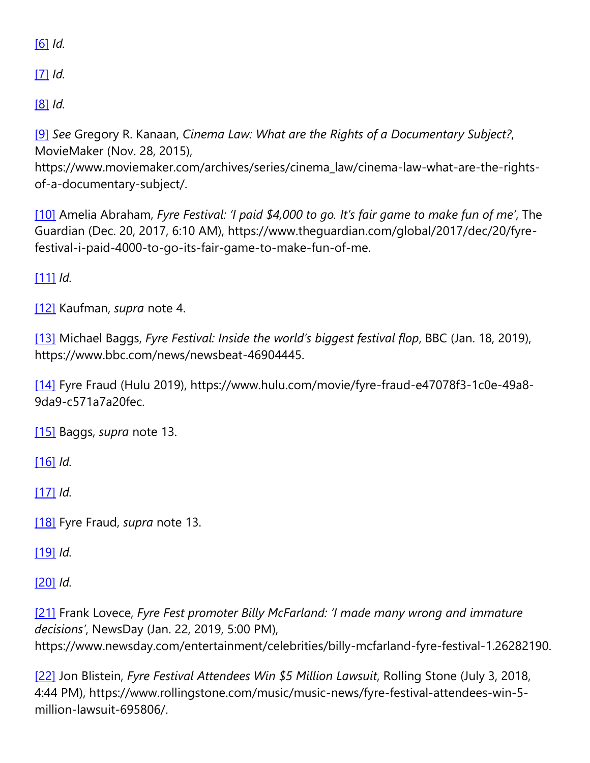[\[6\]](https://cardozoaelj.com/2019/02/05/legal-implications-disastrous-fyre-festival-two-documentaries/#_ftnref6) *Id.*

[\[7\]](https://cardozoaelj.com/2019/02/05/legal-implications-disastrous-fyre-festival-two-documentaries/#_ftnref7) *Id.*

[\[8\]](https://cardozoaelj.com/2019/02/05/legal-implications-disastrous-fyre-festival-two-documentaries/#_ftnref8) *Id.*

[\[9\]](https://cardozoaelj.com/2019/02/05/legal-implications-disastrous-fyre-festival-two-documentaries/#_ftnref9) *See* Gregory R. Kanaan, *Cinema Law: What are the Rights of a Documentary Subject?*, MovieMaker (Nov. 28, 2015),

https://www.moviemaker.com/archives/series/cinema\_law/cinema-law-what-are-the-rightsof-a-documentary-subject/.

[\[10\]](https://cardozoaelj.com/2019/02/05/legal-implications-disastrous-fyre-festival-two-documentaries/#_ftnref10) Amelia Abraham, *Fyre Festival: 'I paid \$4,000 to go. It's fair game to make fun of me'*, The Guardian (Dec. 20, 2017, 6:10 AM), https://www.theguardian.com/global/2017/dec/20/fyrefestival-i-paid-4000-to-go-its-fair-game-to-make-fun-of-me.

[\[11\]](https://cardozoaelj.com/2019/02/05/legal-implications-disastrous-fyre-festival-two-documentaries/#_ftnref11) *Id.*

[\[12\]](https://cardozoaelj.com/2019/02/05/legal-implications-disastrous-fyre-festival-two-documentaries/#_ftnref12) Kaufman, *supra* note 4.

[\[13\]](https://cardozoaelj.com/2019/02/05/legal-implications-disastrous-fyre-festival-two-documentaries/#_ftnref13) Michael Baggs, *Fyre Festival: Inside the world's biggest festival flop*, BBC (Jan. 18, 2019), https://www.bbc.com/news/newsbeat-46904445.

[\[14\]](https://cardozoaelj.com/2019/02/05/legal-implications-disastrous-fyre-festival-two-documentaries/#_ftnref14) Fyre Fraud (Hulu 2019), https://www.hulu.com/movie/fyre-fraud-e47078f3-1c0e-49a8- 9da9-c571a7a20fec.

[\[15\]](https://cardozoaelj.com/2019/02/05/legal-implications-disastrous-fyre-festival-two-documentaries/#_ftnref15) Baggs, *supra* note 13.

[\[16\]](https://cardozoaelj.com/2019/02/05/legal-implications-disastrous-fyre-festival-two-documentaries/#_ftnref16) *Id.*

[\[17\]](https://cardozoaelj.com/2019/02/05/legal-implications-disastrous-fyre-festival-two-documentaries/#_ftnref17) *Id.*

[\[18\]](https://cardozoaelj.com/2019/02/05/legal-implications-disastrous-fyre-festival-two-documentaries/#_ftnref18) Fyre Fraud, *supra* note 13.

[\[19\]](https://cardozoaelj.com/2019/02/05/legal-implications-disastrous-fyre-festival-two-documentaries/#_ftnref19) *Id.*

[\[20\]](https://cardozoaelj.com/2019/02/05/legal-implications-disastrous-fyre-festival-two-documentaries/#_ftnref20) *Id.*

[\[21\]](https://cardozoaelj.com/2019/02/05/legal-implications-disastrous-fyre-festival-two-documentaries/#_ftnref21) Frank Lovece, *Fyre Fest promoter Billy McFarland: 'I made many wrong and immature decisions'*, NewsDay (Jan. 22, 2019, 5:00 PM),

https://www.newsday.com/entertainment/celebrities/billy-mcfarland-fyre-festival-1.26282190.

[\[22\]](https://cardozoaelj.com/2019/02/05/legal-implications-disastrous-fyre-festival-two-documentaries/#_ftnref22) Jon Blistein, *Fyre Festival Attendees Win \$5 Million Lawsuit*, Rolling Stone (July 3, 2018, 4:44 PM), https://www.rollingstone.com/music/music-news/fyre-festival-attendees-win-5 million-lawsuit-695806/.